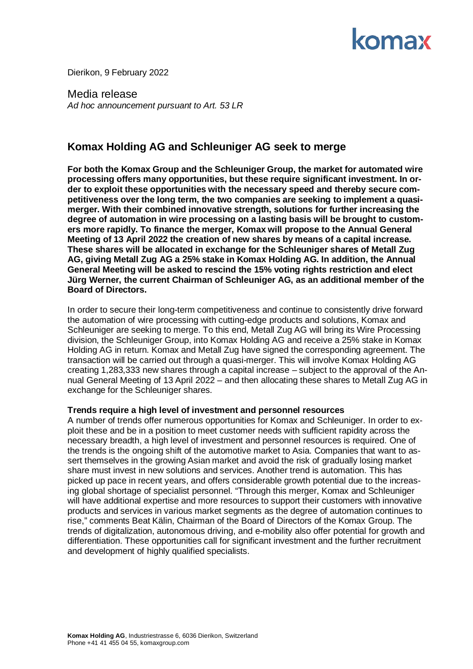

Dierikon, 9 February 2022

Media release *Ad hoc announcement pursuant to Art. 53 LR*

# **Komax Holding AG and Schleuniger AG seek to merge**

**For both the Komax Group and the Schleuniger Group, the market for automated wire processing offers many opportunities, but these require significant investment. In order to exploit these opportunities with the necessary speed and thereby secure competitiveness over the long term, the two companies are seeking to implement a quasimerger. With their combined innovative strength, solutions for further increasing the degree of automation in wire processing on a lasting basis will be brought to customers more rapidly. To finance the merger, Komax will propose to the Annual General Meeting of 13 April 2022 the creation of new shares by means of a capital increase. These shares will be allocated in exchange for the Schleuniger shares of Metall Zug AG, giving Metall Zug AG a 25% stake in Komax Holding AG. In addition, the Annual General Meeting will be asked to rescind the 15% voting rights restriction and elect Jürg Werner, the current Chairman of Schleuniger AG, as an additional member of the Board of Directors.**

In order to secure their long-term competitiveness and continue to consistently drive forward the automation of wire processing with cutting-edge products and solutions, Komax and Schleuniger are seeking to merge. To this end, Metall Zug AG will bring its Wire Processing division, the Schleuniger Group, into Komax Holding AG and receive a 25% stake in Komax Holding AG in return. Komax and Metall Zug have signed the corresponding agreement. The transaction will be carried out through a quasi-merger. This will involve Komax Holding AG creating 1,283,333 new shares through a capital increase – subject to the approval of the Annual General Meeting of 13 April 2022 – and then allocating these shares to Metall Zug AG in exchange for the Schleuniger shares.

## **Trends require a high level of investment and personnel resources**

A number of trends offer numerous opportunities for Komax and Schleuniger. In order to exploit these and be in a position to meet customer needs with sufficient rapidity across the necessary breadth, a high level of investment and personnel resources is required. One of the trends is the ongoing shift of the automotive market to Asia. Companies that want to assert themselves in the growing Asian market and avoid the risk of gradually losing market share must invest in new solutions and services. Another trend is automation. This has picked up pace in recent years, and offers considerable growth potential due to the increasing global shortage of specialist personnel. "Through this merger, Komax and Schleuniger will have additional expertise and more resources to support their customers with innovative products and services in various market segments as the degree of automation continues to rise," comments Beat Kälin, Chairman of the Board of Directors of the Komax Group. The trends of digitalization, autonomous driving, and e-mobility also offer potential for growth and differentiation. These opportunities call for significant investment and the further recruitment and development of highly qualified specialists.